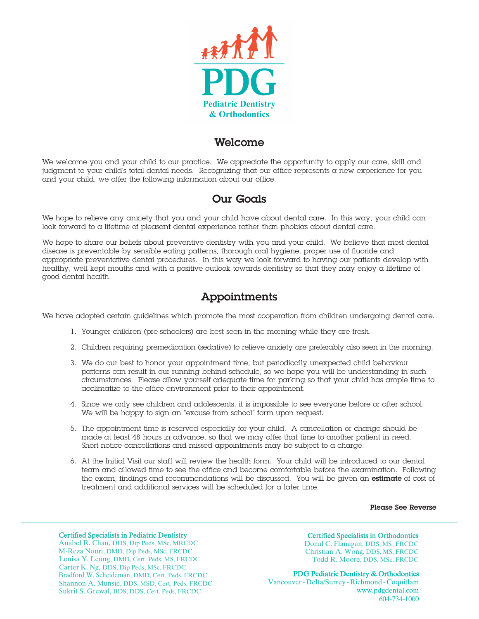

### **Welcome**

We welcome you and your child to our practice. We appreciate the opportunity to apply our care, skill and judgment to your child's total dental needs. Recognizing that our office represents a new experience for you and your child, we offer the following information about our office.

# **Our Goals**

We hope to relieve any anxiety that you and your child have about dental care. In this way, your child can look forward to a lifetime of pleasant dental experience rather than phobias about dental care.

We hope to share our beliefs about preventive dentistry with you and your child. We believe that most dental disease is preventable by sensible eating patterns, thorough oral hygiene, proper use of fluoride and appropriate preventative dental procedures. In this way we look forward to having our patients develop with healthy, well kept mouths and with a positive outlook towards dentistry so that they may enjoy a lifetime of good dental health.

# **Appointments**

We have adopted certain guidelines which promote the most cooperation from children undergoing dental care.

- 1. Younger children (pre-schoolers) are best seen in the morning while they are fresh.
- 2. Children requiring premedication (sedative) to relieve anxiety are preferably also seen in the morning.
- 3. We do our best to honor your appointment time, but periodically unexpected child behaviour patterns can result in our running behind schedule, so we hope you will be understanding in such circumstances. Please allow yourself adequate time for parking so that your child has ample time to acclimatize to the office environment prior to their appointment.
- 4. Since we only see children and adolescents, it is impossible to see everyone before or after school. We will be happy to sign an "excuse from school" form upon request.
- 5. The appointment time is reserved especially for your child. A cancellation or change should be made at least 48 hours in advance, so that we may offer that time to another patient in need. Short notice cancellations and missed appointments may be subject to a charge.
- 6. At the Initial Visit our staff will review the health form. Your child will be introduced to our dental team and allowed time to see the office and become comfortable before the examination. Following the exam, findings and recommendations will be discussed. You will be given an **estimate** of cost of treatment and additional services will be scheduled for a later time.

#### **Please See Reverse**

#### Certified Specialists in Pediatric Dentistry

Anabel R. Chan, DDS, Dip Peds, MSc, MRCDC M-Reza Nouri, DMD, Dip Peds, MSc, FRCDC Louisa Y. Leung, DMD, Cert. Peds, MS, FRCDC Carter K. Ng, DDS, Dip Peds, MSc, FRCDC Bradford W. Scheideman, DMD, Cert. Peds, FRCDC Shannon A. Munsie, DDS, MSD, Cert. Peds, FRCDC Sukrit S. Grewal, BDS, DDS, Cert. Peds, FRCDC

#### Certified Specialists in Orthodontics

Donal C. Flanagan, DDS, MS , FRCDC Christian A. Wong, DDS, MS, FRCDC Todd R. Moore, DDS, MSc, FRCDC

#### PDG Pediatric Dentistry & Orthodontics

Vancouver - Delta/Surrey - Richmond - Coquitlam www.pdgdental.com 604-734-1000